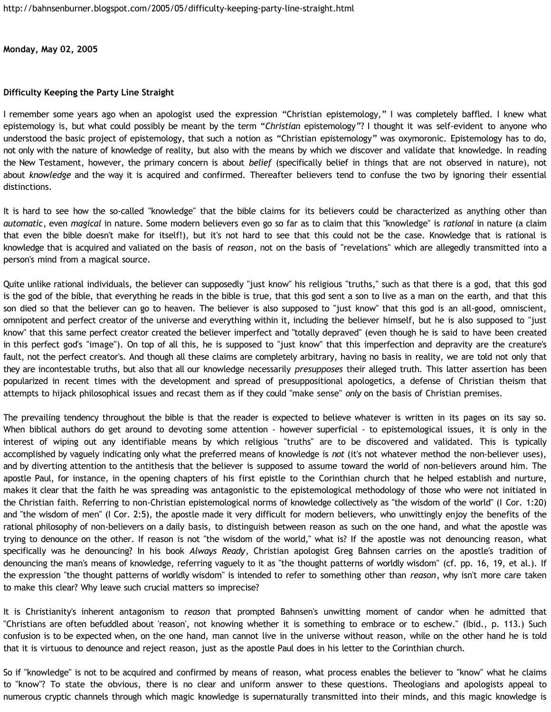**Monday, May 02, 2005**

## **Difficulty Keeping the Party Line Straight**

I remember some years ago when an apologist used the expression "Christian epistemology," I was completely baffled. I knew what epistemology is, but what could possibly be meant by the term "*Christian* epistemology"? I thought it was self-evident to anyone who understood the basic project of epistemology, that such a notion as "Christian epistemology" was oxymoronic. Epistemology has to do, not only with the nature of knowledge of reality, but also with the means by which we discover and validate that knowledge. In reading the New Testament, however, the primary concern is about *belief* (specifically belief in things that are not observed in nature), not about *knowledge* and the way it is acquired and confirmed. Thereafter believers tend to confuse the two by ignoring their essential distinctions.

It is hard to see how the so-called "knowledge" that the bible claims for its believers could be characterized as anything other than *automatic*, even *magical* in nature. Some modern believers even go so far as to claim that this "knowledge" is *rational* in nature (a claim that even the bible doesn't make for itself!), but it's not hard to see that this could not be the case. Knowledge that is rational is knowledge that is acquired and valiated on the basis of *reason*, not on the basis of "revelations" which are allegedly transmitted into a person's mind from a magical source.

Quite unlike rational individuals, the believer can supposedly "just know" his religious "truths," such as that there is a god, that this god is the god of the bible, that everything he reads in the bible is true, that this god sent a son to live as a man on the earth, and that this son died so that the believer can go to heaven. The believer is also supposed to "just know" that this god is an all-good, omniscient, omnipotent and perfect creator of the universe and everything within it, including the believer himself, but he is also supposed to "just know" that this same perfect creator created the believer imperfect and "totally depraved" (even though he is said to have been created in this perfect god's "image"). On top of all this, he is supposed to "just know" that this imperfection and depravity are the creature's fault, not the perfect creator's. And though all these claims are completely arbitrary, having no basis in reality, we are told not only that they are incontestable truths, but also that all our knowledge necessarily *presupposes* their alleged truth. This latter assertion has been popularized in recent times with the development and spread of presuppositional apologetics, a defense of Christian theism that attempts to hijack philosophical issues and recast them as if they could "make sense" *only* on the basis of Christian premises.

The prevailing tendency throughout the bible is that the reader is expected to believe whatever is written in its pages on its say so. When biblical authors do get around to devoting some attention - however superficial - to epistemological issues, it is only in the interest of wiping out any identifiable means by which religious "truths" are to be discovered and validated. This is typically accomplished by vaguely indicating only what the preferred means of knowledge is *not* (it's not whatever method the non-believer uses), and by diverting attention to the antithesis that the believer is supposed to assume toward the world of non-believers around him. The apostle Paul, for instance, in the opening chapters of his first epistle to the Corinthian church that he helped establish and nurture, makes it clear that the faith he was spreading was antagonistic to the epistemological methodology of those who were not initiated in the Christian faith. Referring to non-Christian epistemological norms of knowledge collectively as "the wisdom of the world" (I Cor. 1:20) and "the wisdom of men" (I Cor. 2:5), the apostle made it very difficult for modern believers, who unwittingly enjoy the benefits of the rational philosophy of non-believers on a daily basis, to distinguish between reason as such on the one hand, and what the apostle was trying to denounce on the other. If reason is not "the wisdom of the world," what is? If the apostle was not denouncing reason, what specifically was he denouncing? In his book *Always Ready*, Christian apologist Greg Bahnsen carries on the apostle's tradition of denouncing the man's means of knowledge, referring vaguely to it as "the thought patterns of worldly wisdom" (cf. pp. 16, 19, et al.). If the expression "the thought patterns of worldly wisdom" is intended to refer to something other than *reason*, why isn't more care taken to make this clear? Why leave such crucial matters so imprecise?

It is Christianity's inherent antagonism to *reason* that prompted Bahnsen's unwitting moment of candor when he admitted that "Christians are often befuddled about 'reason', not knowing whether it is something to embrace or to eschew." (Ibid., p. 113.) Such confusion is to be expected when, on the one hand, man cannot live in the universe without reason, while on the other hand he is told that it is virtuous to denounce and reject reason, just as the apostle Paul does in his letter to the Corinthian church.

So if "knowledge" is not to be acquired and confirmed by means of reason, what process enables the believer to "know" what he claims to "know"? To state the obvious, there is no clear and uniform answer to these questions. Theologians and apologists appeal to numerous cryptic channels through which magic knowledge is supernaturally transmitted into their minds, and this magic knowledge is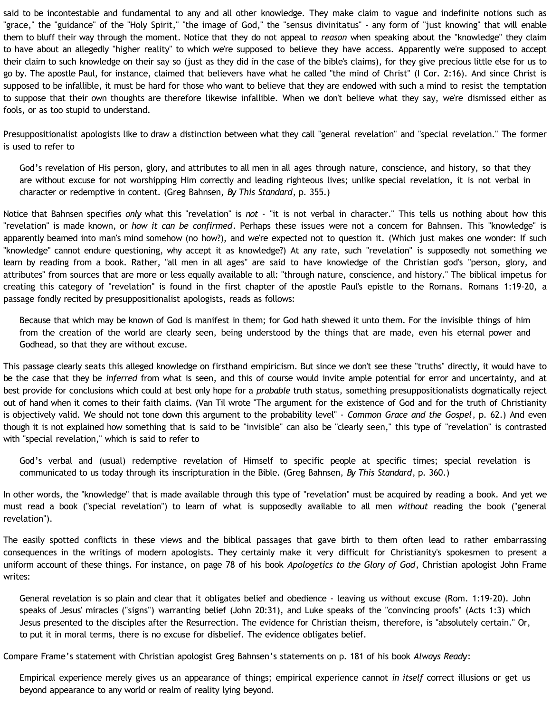said to be incontestable and fundamental to any and all other knowledge. They make claim to vague and indefinite notions such as "grace," the "guidance" of the "Holy Spirit," "the image of God," the "sensus divinitatus" - any form of "just knowing" that will enable them to bluff their way through the moment. Notice that they do not appeal to *reason* when speaking about the "knowledge" they claim to have about an allegedly "higher reality" to which we're supposed to believe they have access. Apparently we're supposed to accept their claim to such knowledge on their say so (just as they did in the case of the bible's claims), for they give precious little else for us to go by. The apostle Paul, for instance, claimed that believers have what he called "the mind of Christ" (I Cor. 2:16). And since Christ is supposed to be infallible, it must be hard for those who want to believe that they are endowed with such a mind to resist the temptation to suppose that their own thoughts are therefore likewise infallible. When we don't believe what they say, we're dismissed either as fools, or as too stupid to understand.

Presuppositionalist apologists like to draw a distinction between what they call "general revelation" and "special revelation." The former is used to refer to

God's revelation of His person, glory, and attributes to all men in all ages through nature, conscience, and history, so that they are without excuse for not worshipping Him correctly and leading righteous lives; unlike special revelation, it is not verbal in character or redemptive in content. (Greg Bahnsen, *By This Standard*, p. 355.)

Notice that Bahnsen specifies *only* what this "revelation" is *not* - "it is not verbal in character." This tells us nothing about how this "revelation" is made known, or *how it can be confirmed*. Perhaps these issues were not a concern for Bahnsen. This "knowledge" is apparently beamed into man's mind somehow (no how?), and we're expected not to question it. (Which just makes one wonder: If such "knowledge" cannot endure questioning, why accept it as knowledge?) At any rate, such "revelation" is supposedly not something we learn by reading from a book. Rather, "all men in all ages" are said to have knowledge of the Christian god's "person, glory, and attributes" from sources that are more or less equally available to all: "through nature, conscience, and history." The biblical impetus for creating this category of "revelation" is found in the first chapter of the apostle Paul's epistle to the Romans. Romans 1:19-20, a passage fondly recited by presuppositionalist apologists, reads as follows:

Because that which may be known of God is manifest in them; for God hath shewed it unto them. For the invisible things of him from the creation of the world are clearly seen, being understood by the things that are made, even his eternal power and Godhead, so that they are without excuse.

This passage clearly seats this alleged knowledge on firsthand empiricism. But since we don't see these "truths" directly, it would have to be the case that they be *inferred* from what is seen, and this of course would invite ample potential for error and uncertainty, and at best provide for conclusions which could at best only hope for a *probable* truth status, something presuppositionalists dogmatically reject out of hand when it comes to their faith claims. (Van Til wrote "The argument for the existence of God and for the truth of Christianity is objectively valid. We should not tone down this argument to the probability level" - *Common Grace and the Gospel*, p. 62.) And even though it is not explained how something that is said to be "invisible" can also be "clearly seen," this type of "revelation" is contrasted with "special revelation," which is said to refer to

God's verbal and (usual) redemptive revelation of Himself to specific people at specific times; special revelation is communicated to us today through its inscripturation in the Bible. (Greg Bahnsen, *By This Standard*, p. 360.)

In other words, the "knowledge" that is made available through this type of "revelation" must be acquired by reading a book. And yet we must read a book ("special revelation") to learn of what is supposedly available to all men *without* reading the book ("general revelation").

The easily spotted conflicts in these views and the biblical passages that gave birth to them often lead to rather embarrassing consequences in the writings of modern apologists. They certainly make it very difficult for Christianity's spokesmen to present a uniform account of these things. For instance, on page 78 of his book *Apologetics to the Glory of God*, Christian apologist John Frame writes:

General revelation is so plain and clear that it obligates belief and obedience - leaving us without excuse (Rom. 1:19-20). John speaks of Jesus' miracles ("signs") warranting belief (John 20:31), and Luke speaks of the "convincing proofs" (Acts 1:3) which Jesus presented to the disciples after the Resurrection. The evidence for Christian theism, therefore, is "absolutely certain." Or, to put it in moral terms, there is no excuse for disbelief. The evidence obligates belief.

Compare Frame's statement with Christian apologist Greg Bahnsen's statements on p. 181 of his book *Always Ready*:

Empirical experience merely gives us an appearance of things; empirical experience cannot *in itself* correct illusions or get us beyond appearance to any world or realm of reality lying beyond.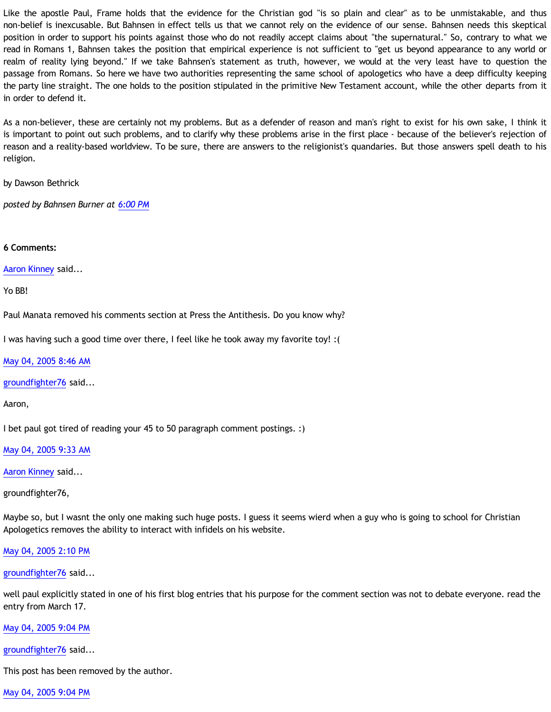Like the apostle Paul, Frame holds that the evidence for the Christian god "is so plain and clear" as to be unmistakable, and thus non-belief is inexcusable. But Bahnsen in effect tells us that we cannot rely on the evidence of our sense. Bahnsen needs this skeptical position in order to support his points against those who do not readily accept claims about "the supernatural." So, contrary to what we read in Romans 1, Bahnsen takes the position that empirical experience is not sufficient to "get us beyond appearance to any world or realm of reality lying beyond." If we take Bahnsen's statement as truth, however, we would at the very least have to question the passage from Romans. So here we have two authorities representing the same school of apologetics who have a deep difficulty keeping the party line straight. The one holds to the position stipulated in the primitive New Testament account, while the other departs from it in order to defend it.

As a non-believer, these are certainly not my problems. But as a defender of reason and man's right to exist for his own sake, I think it is important to point out such problems, and to clarify why these problems arise in the first place - because of the believer's rejection of reason and a reality-based worldview. To be sure, there are answers to the religionist's quandaries. But those answers spell death to his religion.

by Dawson Bethrick

*posted by Bahnsen Burner at [6:00 PM](http://bahnsenburner.blogspot.com/2005/05/difficulty-keeping-party-line-straight.html)*

## **6 Comments:**

[Aaron Kinney](http://www.blogger.com/profile/8138664) said...

Yo BB!

Paul Manata removed his comments section at Press the Antithesis. Do you know why?

I was having such a good time over there, I feel like he took away my favorite toy! :(

[May 04, 2005 8:46 AM](http://bahnsenburner.blogspot.com/2005/05/111522157450100818)

[groundfighter76](http://www.blogger.com/profile/8210797) said...

Aaron,

I bet paul got tired of reading your 45 to 50 paragraph comment postings. :)

[May 04, 2005 9:33 AM](http://bahnsenburner.blogspot.com/2005/05/111522440416378463)

[Aaron Kinney](http://www.blogger.com/profile/8138664) said...

groundfighter76,

Maybe so, but I wasnt the only one making such huge posts. I guess it seems wierd when a guy who is going to school for Christian Apologetics removes the ability to interact with infidels on his website.

[May 04, 2005 2:10 PM](http://bahnsenburner.blogspot.com/2005/05/111524102594845069)

[groundfighter76](http://www.blogger.com/profile/8210797) said...

well paul explicitly stated in one of his first blog entries that his purpose for the comment section was not to debate everyone. read the entry from March 17.

## [May 04, 2005 9:04 PM](http://bahnsenburner.blogspot.com/2005/05/111526585322484746)

[groundfighter76](http://www.blogger.com/profile/8210797) said...

This post has been removed by the author.

[May 04, 2005 9:04 PM](http://bahnsenburner.blogspot.com/2005/05/111526585754439660)